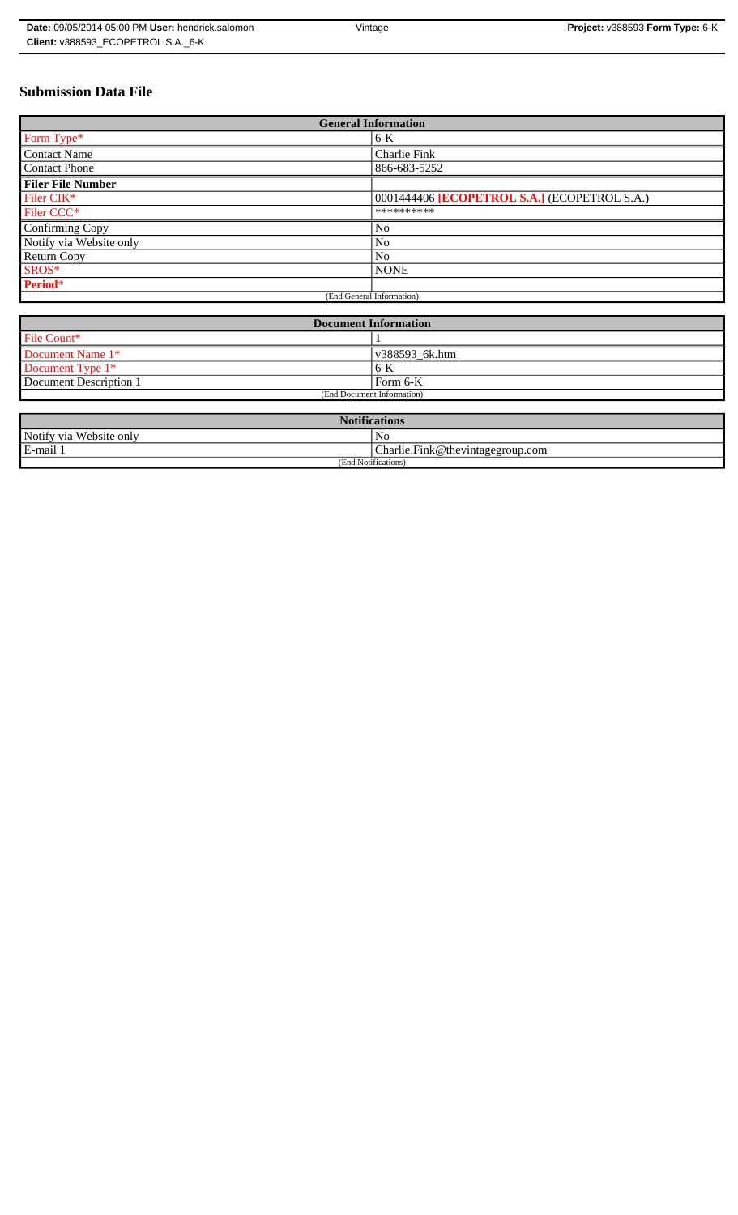# **Submission Data File**

| <b>General Information</b> |                                              |  |
|----------------------------|----------------------------------------------|--|
| Form Type*                 | $6-K$                                        |  |
| <b>Contact Name</b>        | <b>Charlie Fink</b>                          |  |
| <b>Contact Phone</b>       | 866-683-5252                                 |  |
| <b>Filer File Number</b>   |                                              |  |
| Filer CIK*                 | 0001444406 [ECOPETROL S.A.] (ECOPETROL S.A.) |  |
| Filer CCC*                 | **********                                   |  |
| Confirming Copy            | N <sub>0</sub>                               |  |
| Notify via Website only    | No                                           |  |
| <b>Return Copy</b>         | N <sub>o</sub>                               |  |
| SROS*                      | <b>NONE</b>                                  |  |
| Period*                    |                                              |  |
| (End General Information)  |                                              |  |

| <b>Document Information</b> |                |  |
|-----------------------------|----------------|--|
| File Count*                 |                |  |
| Document Name 1*            | v388593 6k.htm |  |
| Document Type $1*$          | $6-K$          |  |
| Document Description 1      | Form 6-K       |  |
| (End Document Information)  |                |  |

| <b>Notifications</b>    |                                    |  |
|-------------------------|------------------------------------|--|
| Notify via Website only | Nc                                 |  |
| E-mail 1                | [Charlie.Fink@thevintagegroup.com] |  |
| (End Notifications)     |                                    |  |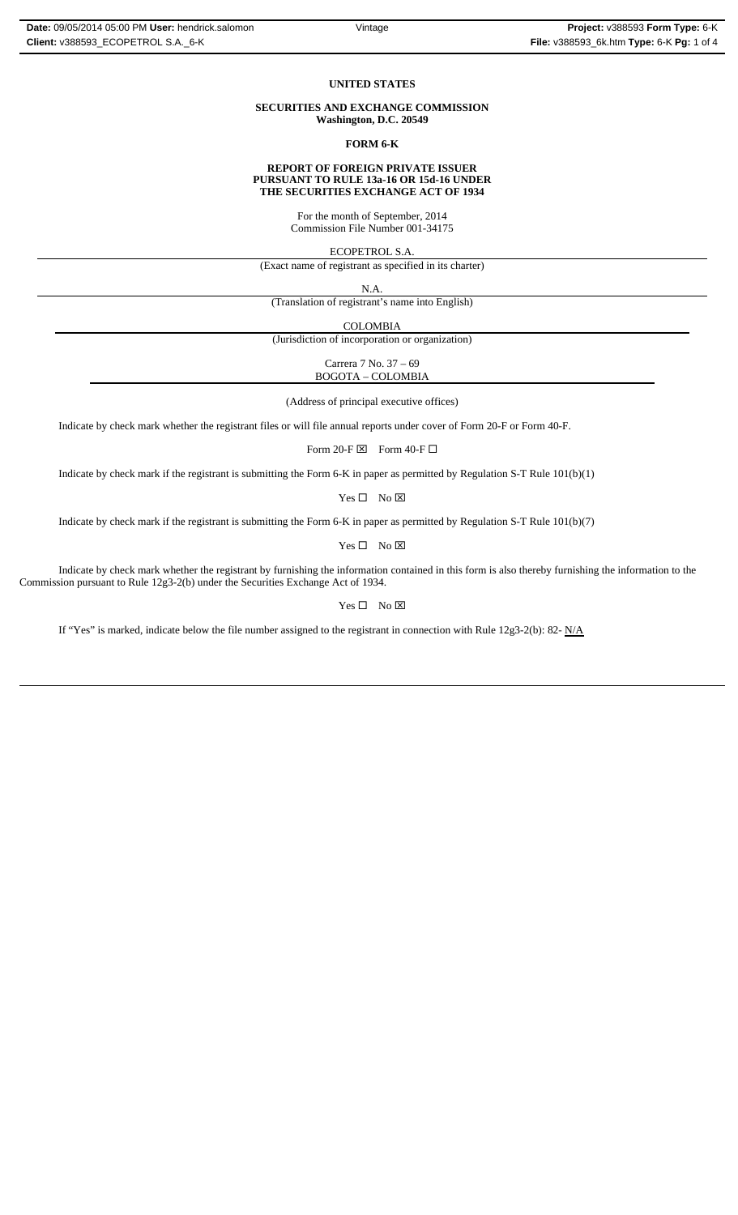#### **UNITED STATES**

## **SECURITIES AND EXCHANGE COMMISSION Washington, D.C. 20549**

### **FORM 6-K**

#### **REPORT OF FOREIGN PRIVATE ISSUER PURSUANT TO RULE 13a-16 OR 15d-16 UNDER THE SECURITIES EXCHANGE ACT OF 1934**

For the month of September, 2014 Commission File Number 001-34175

ECOPETROL S.A.

(Exact name of registrant as specified in its charter)

N.A. (Translation of registrant's name into English)

COLOMBIA

(Jurisdiction of incorporation or organization)

Carrera 7 No. 37 – 69 BOGOTA – COLOMBIA

(Address of principal executive offices)

Indicate by check mark whether the registrant files or will file annual reports under cover of Form 20-F or Form 40-F.

Form 20-F  $\boxtimes$  Form 40-F  $\Box$ 

Indicate by check mark if the registrant is submitting the Form 6-K in paper as permitted by Regulation S-T Rule 101(b)(1)

 $Yes \Box No \boxtimes$ 

Indicate by check mark if the registrant is submitting the Form 6-K in paper as permitted by Regulation S-T Rule 101(b)(7)

 $Yes \Box No \boxtimes$ 

Indicate by check mark whether the registrant by furnishing the information contained in this form is also thereby furnishing the information to the Commission pursuant to Rule 12g3-2(b) under the Securities Exchange Act of 1934.

## $Yes \Box No \boxtimes$

If "Yes" is marked, indicate below the file number assigned to the registrant in connection with Rule 12g3-2(b): 82-  $N/A$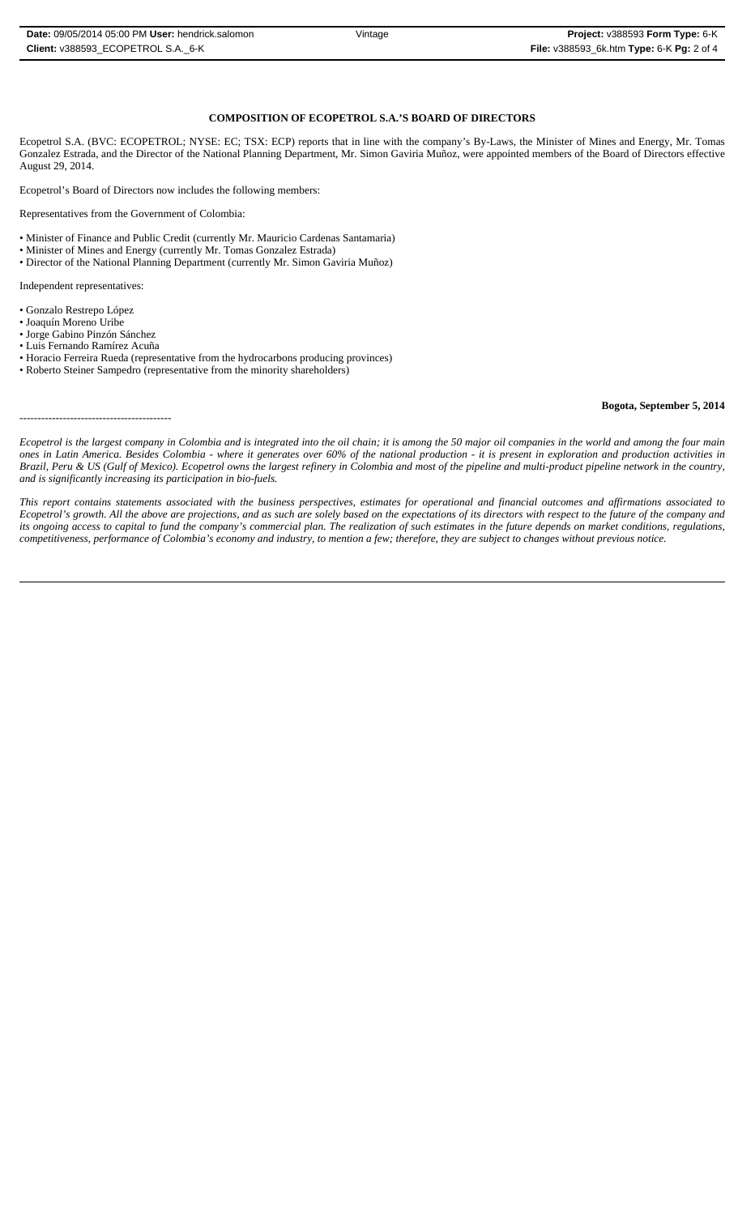## **COMPOSITION OF ECOPETROL S.A.'S BOARD OF DIRECTORS**

Ecopetrol S.A. (BVC: ECOPETROL; NYSE: EC; TSX: ECP) reports that in line with the company's By-Laws, the Minister of Mines and Energy, Mr. Tomas Gonzalez Estrada, and the Director of the National Planning Department, Mr. Simon Gaviria Muñoz, were appointed members of the Board of Directors effective August 29, 2014.

Ecopetrol's Board of Directors now includes the following members:

Representatives from the Government of Colombia:

- Minister of Finance and Public Credit (currently Mr. Mauricio Cardenas Santamaria)
- Minister of Mines and Energy (currently Mr. Tomas Gonzalez Estrada)
- Director of the National Planning Department (currently Mr. Simon Gaviria Muñoz)

Independent representatives:

- Gonzalo Restrepo López
- Joaquín Moreno Uribe
- Jorge Gabino Pinzón Sánchez
- Luis Fernando Ramírez Acuña

------------------------------------------

- Horacio Ferreira Rueda (representative from the hydrocarbons producing provinces)
- Roberto Steiner Sampedro (representative from the minority shareholders)

## **Bogota, September 5, 2014**

*Ecopetrol is the largest company in Colombia and is integrated into the oil chain; it is among the 50 major oil companies in the world and among the four main ones in Latin America. Besides Colombia - where it generates over 60% of the national production - it is present in exploration and production activities in Brazil, Peru & US (Gulf of Mexico). Ecopetrol owns the largest refinery in Colombia and most of the pipeline and multi-product pipeline network in the country, and is significantly increasing its participation in bio-fuels.*

*This report contains statements associated with the business perspectives, estimates for operational and financial outcomes and affirmations associated to Ecopetrol's growth. All the above are projections, and as such are solely based on the expectations of its directors with respect to the future of the company and its ongoing access to capital to fund the company's commercial plan. The realization of such estimates in the future depends on market conditions, regulations, competitiveness, performance of Colombia's economy and industry, to mention a few; therefore, they are subject to changes without previous notice.*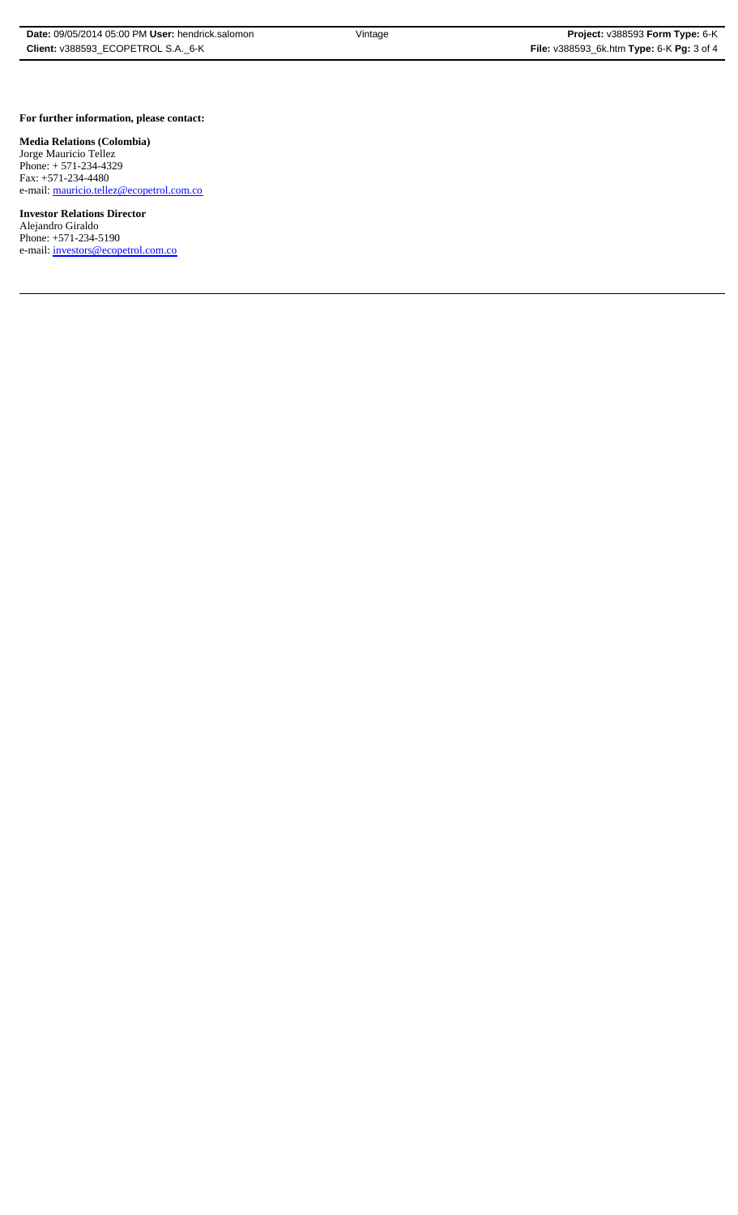## **For further information, please contact:**

## **Media Relations (Colombia)**

Jorge Mauricio Tellez Phone: + 571-234-4329 Fax: +571-234-4480 e-mail: mauricio.tellez@ecopetrol.com.co

**Investor Relations Director**  Alejandro Giraldo Phone: +571-234-5190 e-mail: investors@ecopetrol.com.co